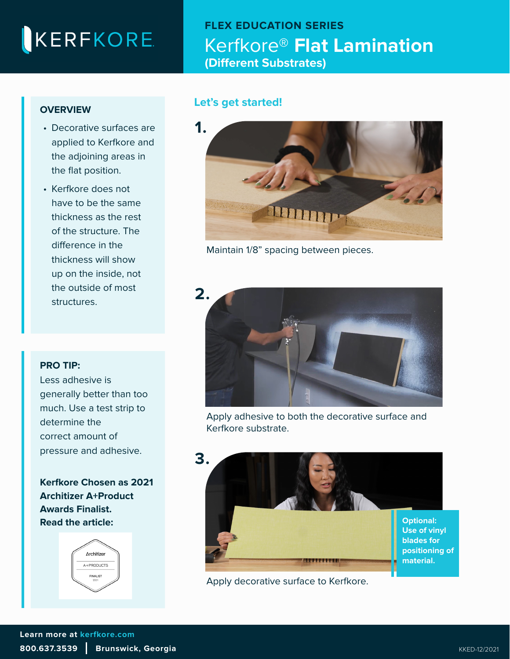# KERFKORE

## **FLEX EDUCATION SERIES**  Kerfkore® **Flat Lamination (Different Substrates)**

### **OVERVIEW**

- Decorative surfaces are applied to Kerfkore and the adjoining areas in the flat position.
- Kerfkore does not have to be the same thickness as the rest of the structure. The difference in the thickness will show up on the inside, not the outside of most structures.

### **Let's get started!**



Maintain 1/8" spacing between pieces.



Apply adhesive to both the decorative surface and Kerfkore substrate.



Apply decorative surface to Kerfkore.

#### **PRO TIP:**

Less adhesive is [generally better than too](https://kerfkore.com/flexible-panels-panel/kerfkore/))  much. Use a test strip to determine the correct amount of pressure and adhesive.

**[Kerfkore Chosen as 2021](https://kerfkore.com/blog/kerfkore-2021-architizer-product-awards-finalist/)  Architizer A+Product Awards Finalist. Read the article:**